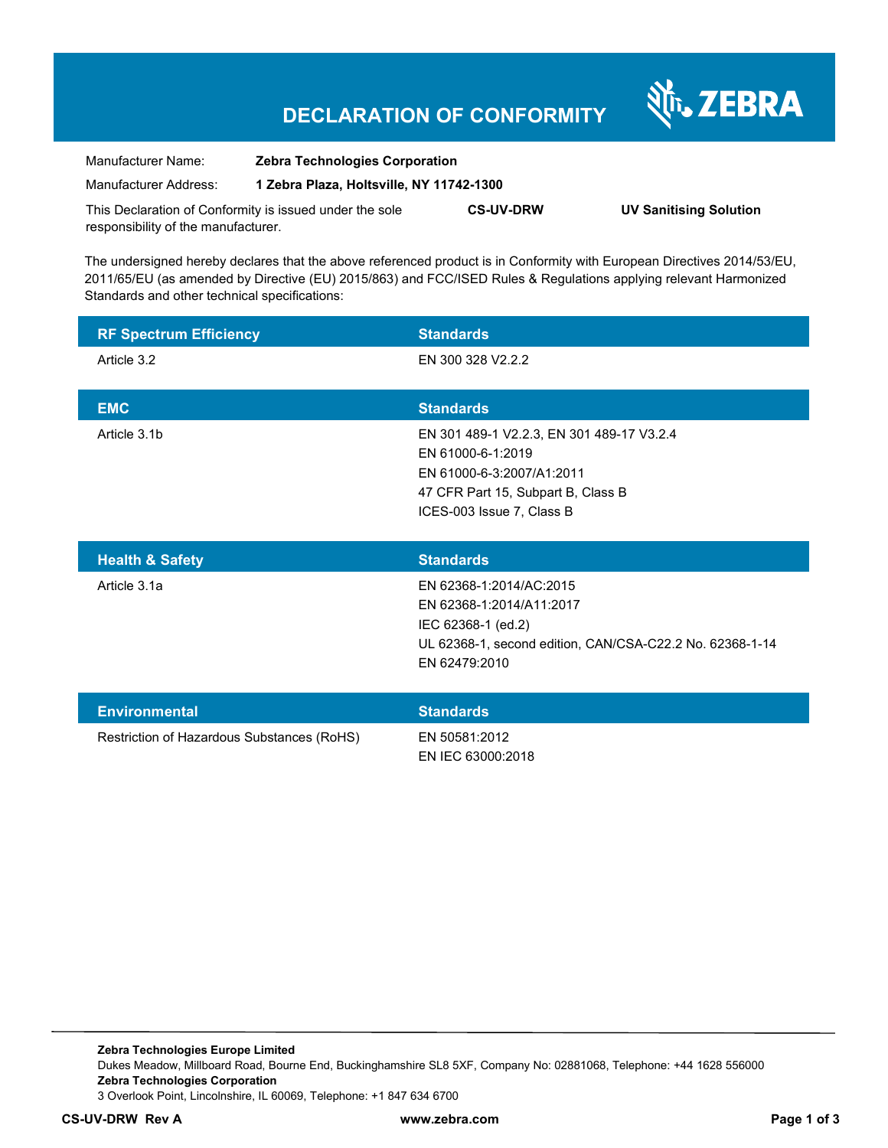## **DECLARATION OF CONFORMITY**

| Manufacturer Name:                                      | <b>Zebra Technologies Corporation</b>    |                  |                               |
|---------------------------------------------------------|------------------------------------------|------------------|-------------------------------|
| Manufacturer Address:                                   | 1 Zebra Plaza, Holtsville, NY 11742-1300 |                  |                               |
| This Declaration of Conformity is issued under the sole |                                          | <b>CS-UV-DRW</b> | <b>UV Sanitising Solution</b> |
| responsibility of the manufacturer.                     |                                          |                  |                               |

The undersigned hereby declares that the above referenced product is in Conformity with European Directives 2014/53/EU, 2011/65/EU (as amended by Directive (EU) 2015/863) and FCC/ISED Rules & Regulations applying relevant Harmonized Standards and other technical specifications:

| <b>RF Spectrum Efficiency</b> | <b>Standards</b>                          |
|-------------------------------|-------------------------------------------|
| Article 3.2                   | EN 300 328 V2.2.2                         |
|                               |                                           |
| <b>EMC</b>                    | <b>Standards</b>                          |
| Article 3.1b                  | EN 301 489-1 V2.2.3, EN 301 489-17 V3.2.4 |
|                               | EN 61000-6-1:2019                         |
|                               | EN 61000-6-3:2007/A1:2011                 |
|                               | 47 CFR Part 15, Subpart B, Class B        |
|                               | ICES-003 Issue 7, Class B                 |
|                               |                                           |
| <b>Health &amp; Safety</b>    | <b>Standards</b>                          |
| Article 3.1a                  | EN 62368-1:2014/AC:2015                   |
|                               | EN 62368-1:2014/A11:2017                  |
|                               | IEC 62368-1 (ed.2)                        |

| <b>Environmental</b>                       | <b>Standards</b>  |
|--------------------------------------------|-------------------|
| Restriction of Hazardous Substances (RoHS) | EN 50581:2012     |
|                                            | EN IEC 63000:2018 |

EN 62479:2010

UL 62368-1, second edition, CAN/CSA-C22.2 No. 62368-1-14

Nr. ZEBRA

**Zebra Technologies Europe Limited**  Dukes Meadow, Millboard Road, Bourne End, Buckinghamshire SL8 5XF, Company No: 02881068, Telephone: +44 1628 556000 **Zebra Technologies Corporation**  3 Overlook Point, Lincolnshire, IL 60069, Telephone: +1 847 634 6700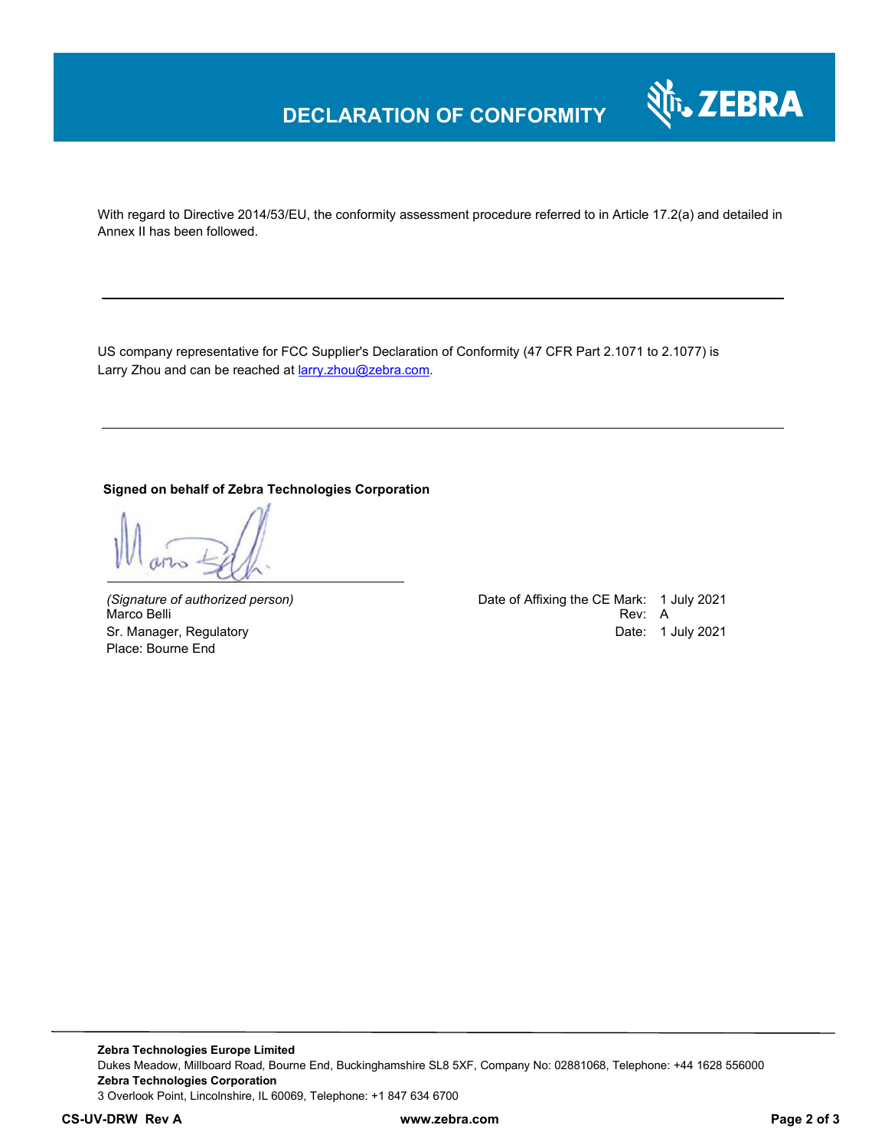

With regard to Directive 2014/53/EU, the conformity assessment procedure referred to in Article 17.2(a) and detailed in Annex II has been followed.

US company representative for FCC Supplier's Declaration of Conformity (47 CFR Part 2.1071 to 2.1077) is Larry Zhou and can be reached at **larry.zhou@zebra.com**.

#### **Signed on behalf of Zebra Technologies Corporation**

Marco Belli Place: Bourne End

*(Signature of authorized person)* Date of Affixing the CE Mark: 1 July 2021 Sr. Manager, Regulatory Date: 1 July 2021

**Zebra Technologies Europe Limited**  Dukes Meadow, Millboard Road, Bourne End, Buckinghamshire SL8 5XF, Company No: 02881068, Telephone: +44 1628 556000 **Zebra Technologies Corporation**  3 Overlook Point, Lincolnshire, IL 60069, Telephone: +1 847 634 6700